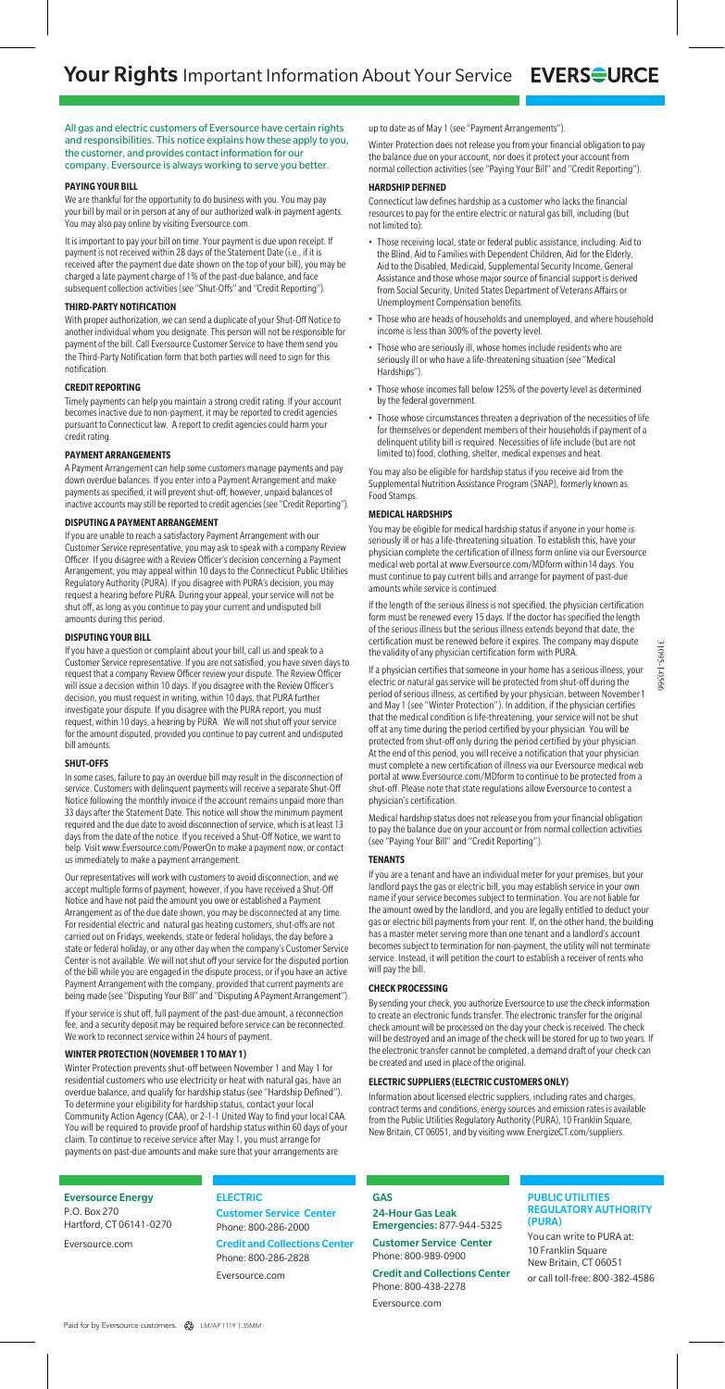All gas and electric customers of Eversource have certain rights and responsibilities. This notice explains how these apply to you, the customer, and provides contact information for our company. Eversource is always working to serve you better.

# **PAYING YOUR BILL**

We are thankful for the opportunity to do business with you. You may pay your bill by mail or in person at any of our authorized walk-in payment agents. You may also pay online by visiting Eversource.com.

It is important to pay your bill on time. Your payment is due upon receipt. If payment is not received within 28 days of the Statement Date (i.e., if it is received after the payment due date shown on the top of your bill), you may be charged a late payment charge of 1% of the past-due balance, and face subsequent collection activities (see "Shut-Offs" and "Credit Reporting")

# **THIRD-PARTY NOTIFICATION**

With proper authorization, we can send a duplicate of your Shut-Off Notice to another individual whom you designate. This person will not be responsible for payment of the bill. Call Eversource Customer Service to have them send you the Third-Party Notification form that both parties will need to sign for this notification.

## **CREDIT REPORTING**

Timely payments can help you maintain a strong credit rating. If your account becomes inactive due to non-payment, it may be reported to credit agencies pursuant to Connecticut law. A report to credit agencies could harm your credit rating.

### **PAYMENT ARRANGEMENTS**

A Payment Arrangement can help some customers manage payments and pay down overdue balances. If you enter into a Payment Arrangement and make payments as specified, it will prevent shut-off; however, unpaid balances of inactive accounts may still be reported to credit agencies (see "Credit Reporting").

## **DISPUTING A PAYMENT ARRANGEMENT**

If you are unable to reach a satisfactory Payment Arrangement with our Customer Service representative, you may ask to speak with a company Review Officer. If you disagree with a Review Officer's decision concerning a Payment Arrangement, you may appeal within 10 days to the Connecticut Public Utilities Regulatory Authority (PURA). If you disagree with PURA's decision, you may request a hearing before PURA. During your appeal, your service will not be shut off, as long as you continue to pay your current and undisputed bill amounts during this period.

### **DISPUTING YOUR BILL**

If you have a question or complaint about your bill, call us and speak to a Customer Service representative. If you are not satisfied, you have seven days to request that a company Review Officer review your dispute. The Review Officer will issue a decision within 10 days. If you disagree with the Review Officer's decision, you must request in writing, within 10 days, that PURA further investigate your dispute. If you disagree with the PURA report, you must request, within 10 days, a hearing by PURA. We will not shut off your service for the amount disputed, provided you continue to pay current and undisputed bill amounts.

### **SHUT-OFFS**

In some cases, failure to pay an overdue bill may result in the disconnection of service. Customers with delinquent payments will receive a separate Shut-O Notice following the monthly invoice if the account remains unpaid more than 33 days after the Statement Date. This notice will show the minimum payment required and the due date to avoid disconnection of service, which is at least 13 days from the date of the notice. If you received a Shut-Off Notice, we want to help. Visit www.Eversource.com/PowerOn to make a payment now, or contact us immediately to make a payment arrangement.

Our representatives will work with customers to avoid disconnection, and we accept multiple forms of payment; however, if you have received a Shut-Off Notice and have not paid the amount you owe or established a Payment Arrangement as of the due date shown, you may be disconnected at any time. For residential electric and natural gas heating customers, shut-offs are not carried out on Fridays, weekends, state or federal holidays, the day before a state or federal holiday, or any other day when the company's Customer Service Center is not available. We will not shut off your service for the disputed portion of the bill while you are engaged in the dispute process, or if you have an active Payment Arrangement with the company, provided that current payments are being made (see "Disputing Your Bill" and "Disputing A Payment Arrange

If your service is shut off, full payment of the past-due amount, a reconnection fee, and a security deposit may be required before service can be reconnected. We work to reconnect service within 24 hours of payment.

# **WINTER PROTECTION (NOVEMBER 1 TO MAY 1)**

Winter Protection prevents shut-off between November 1 and May 1 for residential customers who use electricity or heat with natural gas, have an overdue balance, and qualify for hardship status (see "Hardship Defined"). To determine your eligibility for hardship status, contact your local Community Action Agency (CAA), or 2-1-1 United Way to find your local CAA. You will be required to provide proof of hardship status within 60 days of your claim. To continue to receive service after May 1, you must arrange for payments on past-due amounts and make sure that your arrangements are

## Eversource Energy P.O. Box 270

Hartford, CT 06141-0270 Eversource.com

# ELECTRIC

# Customer Service Center Phone: 800-286-2000

Credit and Collections Center Phone: 800-286-2828

Eversource.com

up to date as of May 1 (see "Payment Arrangements").

Winter Protection does not release you from your financial obligation to pay the balance due on your account, nor does it protect your account from normal collection activities (see "Paying Your Bill" and "Credit Reporting").

# **HARDSHIP DEFINED**

Connecticut law defines hardship as a customer who lacks the financial resources to pay for the entire electric or natural gas bill, including (but not limited to):

- Those receiving local, state or federal public assistance, including: Aid to the Blind, Aid to Families with Dependent Children, Aid for the Elderly, Aid to the Disabled, Medicaid, Supplemental Security Income, General Assistance and those whose major source of financial support is derived from Social Security, United States Department of Veterans Affairs or Unemployment Compensation benefits.
- Those who are heads of households and unemployed, and where household income is less than 300% of the poverty level.
- Those who are seriously ill, whose homes include residents who are seriously ill or who have a life-threatening situation (see "Medical Hardships").
- Those whose incomes fall below 125% of the poverty level as determined by the federal government.
- Those whose circumstances threaten a deprivation of the necessities of life for themselves or dependent members of their households if payment of a delinquent utility bill is required. Necessities of life include (but are not limited to) food, clothing, shelter, medical expenses and heat.

You may also be eligible for hardship status if you receive aid from the Supplemental Nutrition Assistance Program (SNAP), formerly known as Food Stamps.

### **MEDICAL HARDSHIPS**

You may be eligible for medical hardship status if anyone in your home is seriously ill or has a life-threatening situation. To establish this, have your physician complete the certification of illness form online via our Eversource medical web portal at www.Eversource.com/MDform within14 days. You must continue to pay current bills and arrange for payment of past-due amounts while service is continued.

If the length of the serious illness is not specified, the physician certification form must be renewed every 15 days. If the doctor has specified the length of the serious illness but the serious illness extends beyond that date, the certification must be renewed before it expires. The company may dispute the validity of any physician certification form with PURA.

If a physician certifies that someone in your home has a serious illness, your electric or natural gas service will be protected from shut-off during the period of serious illness, as certified by your physician, between November1 and May 1 (see "Winter Protection"). In addition, if the physician certifies that the medical condition is life-threatening, your service will not be shut off at any time during the period certified by your physician. You will be protected from shut-off only during the period certified by your physician. At the end of this period, you will receive a notification that your physician must complete a new certification of illness via our Eversource medical web portal at www.Eversource.com/MDform to continue to be protected from a .<br>shut-off. Please note that state regulations allow Eversource to contest a physician's certification.

Medical hardship status does not release you from your financial obligation to pay the balance due on your account or from normal collection activities (see "Paying Your Bill" and "Credit Reporting").

### **TENANTS**

If you are a tenant and have an individual meter for your premises, but your landlord pays the gas or electric bill, you may establish service in your own name if your service becomes subject to termination. You are not liable for the amount owed by the landlord, and you are legally entitled to deduct your gas or electric bill payments from your rent. If, on the other hand, the building has a master meter serving more than one tenant and a landlord's account becomes subject to termination for non-payment, the utility will not terminate service. Instead, it will petition the court to establish a receiver of rents who will pay the bill.

### **CHECK PROCESSING**

By sending your check, you authorize Eversource to use the check information to create an electronic funds transfer. The electronic transfer for the original check amount will be processed on the day your check is received. The check will be destroyed and an image of the check will be stored for up to two years. If the electronic transfer cannot be completed, a demand draft of your check can be created and used in place of the original.

# **ELECTRIC SUPPLIERS (ELECTRIC CUSTOMERS ONLY)**

Information about licensed electric suppliers, including rates and charges, contract terms and conditions, energy sources and emission rates is available from the Public Utilities Regulatory Authority (PURA), 10 Franklin Square, New Britain, CT 06051, and by visiting www.EnergizeCT.com/suppliers.

# GAS

24-Hour Gas Leak Emergencies: 877-944-5325 Customer Service Center Phone: 800-989-0900

Credit and Collections Center Phone: 800-438-2278

Eversource.com

### PUBLIC UTILITIES REGULATORY AUTHORITY (PURA)

You can write to PURA at: 10 Franklin Square New Britain, CT 06051 or call toll-free: 800-382-4586

31095-1-056